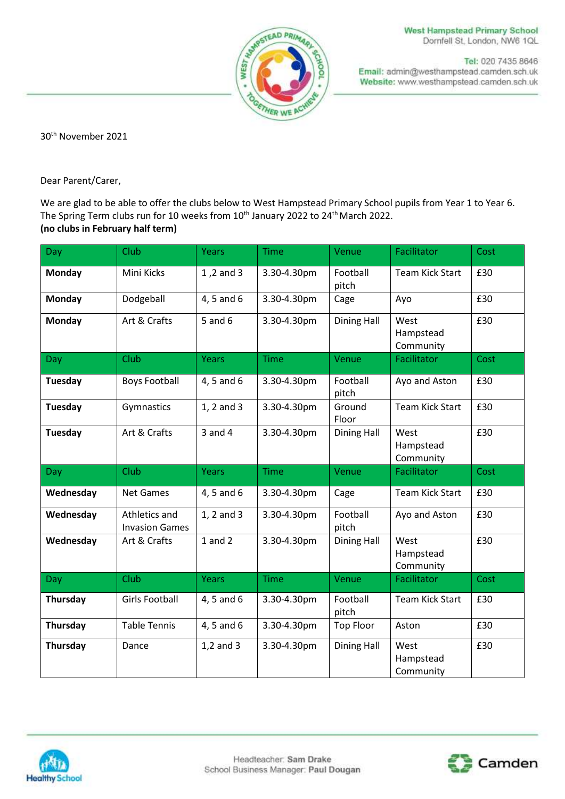



Tel: 020 7435 8646 Email: admin@westhampstead.camden.sch.uk Website: www.westhampstead.camden.sch.uk

30th November 2021

Dear Parent/Carer,

We are glad to be able to offer the clubs below to West Hampstead Primary School pupils from Year 1 to Year 6. The Spring Term clubs run for 10 weeks from  $10^{th}$  January 2022 to 24 $^{th}$  March 2022. **(no clubs in February half term)**

| Day            | Club                                   | <b>Years</b> | <b>Time</b> | Venue              | Facilitator                    | Cost |
|----------------|----------------------------------------|--------------|-------------|--------------------|--------------------------------|------|
| <b>Monday</b>  | Mini Kicks                             | 1,2 and 3    | 3.30-4.30pm | Football<br>pitch  | <b>Team Kick Start</b>         | £30  |
| Monday         | Dodgeball                              | 4, 5 and 6   | 3.30-4.30pm | Cage               | Ayo                            | £30  |
| <b>Monday</b>  | Art & Crafts                           | $5$ and $6$  | 3.30-4.30pm | <b>Dining Hall</b> | West<br>Hampstead<br>Community | £30  |
| Day            | <b>Club</b>                            | <b>Years</b> | <b>Time</b> | Venue              | Facilitator                    | Cost |
| <b>Tuesday</b> | <b>Boys Football</b>                   | 4, 5 and 6   | 3.30-4.30pm | Football<br>pitch  | Ayo and Aston                  | £30  |
| <b>Tuesday</b> | Gymnastics                             | 1, 2 and 3   | 3.30-4.30pm | Ground<br>Floor    | <b>Team Kick Start</b>         | £30  |
| Tuesday        | Art & Crafts                           | $3$ and $4$  | 3.30-4.30pm | <b>Dining Hall</b> | West<br>Hampstead<br>Community | £30  |
|                |                                        |              |             |                    |                                |      |
| Day            | <b>Club</b>                            | <b>Years</b> | <b>Time</b> | Venue              | Facilitator                    | Cost |
| Wednesday      | Net Games                              | 4, 5 and 6   | 3.30-4.30pm | Cage               | Team Kick Start                | £30  |
| Wednesday      | Athletics and<br><b>Invasion Games</b> | 1, 2 and 3   | 3.30-4.30pm | Football<br>pitch  | Ayo and Aston                  | £30  |
| Wednesday      | Art & Crafts                           | $1$ and $2$  | 3.30-4.30pm | <b>Dining Hall</b> | West<br>Hampstead<br>Community | £30  |
| Day            | <b>Club</b>                            | <b>Years</b> | <b>Time</b> | Venue              | Facilitator                    | Cost |
| Thursday       | <b>Girls Football</b>                  | 4, 5 and 6   | 3.30-4.30pm | Football<br>pitch  | Team Kick Start                | £30  |
| Thursday       | <b>Table Tennis</b>                    | 4, 5 and 6   | 3.30-4.30pm | <b>Top Floor</b>   | Aston                          | £30  |